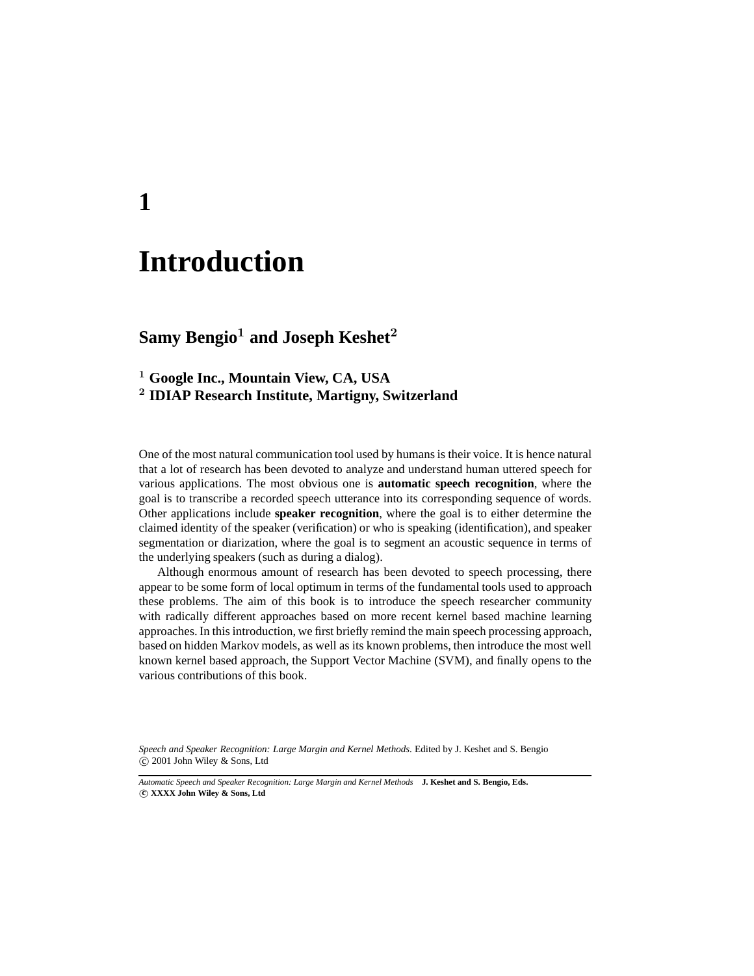# **Introduction**

**1**

# **Samy Bengio**<sup>1</sup> **and Joseph Keshet**<sup>2</sup>

# <sup>1</sup> **Google Inc., Mountain View, CA, USA** 2 **IDIAP Research Institute, Martigny, Switzerland**

One of the most natural communication tool used by humans is their voice. It is hence natural that a lot of research has been devoted to analyze and understand human uttered speech for various applications. The most obvious one is **automatic speech recognition**, where the goal is to transcribe a recorded speech utterance into its corresponding sequence of words. Other applications include **speaker recognition**, where the goal is to either determine the claimed identity of the speaker (verification) or who is speaking (identification), and speaker segmentation or diarization, where the goal is to segment an acoustic sequence in terms of the underlying speakers (such as during a dialog).

Although enormous amount of research has been devoted to speech processing, there appear to be some form of local optimum in terms of the fundamental tools used to approach these problems. The aim of this book is to introduce the speech researcher community with radically different approaches based on more recent kernel based machine learning approaches. In this introduction, we first briefly remind the main speech processing approach, based on hidden Markov models, as well as its known problems, then introduce the most well known kernel based approach, the Support Vector Machine (SVM), and finally opens to the various contributions of this book.

*Speech and Speaker Recognition: Large Margin and Kernel Methods*. Edited by J. Keshet and S. Bengio c 2001 John Wiley & Sons, Ltd

*Automatic Speech and Speaker Recognition: Large Margin and Kernel Methods* **J. Keshet and S. Bengio, Eds. c XXXX John Wiley & Sons, Ltd**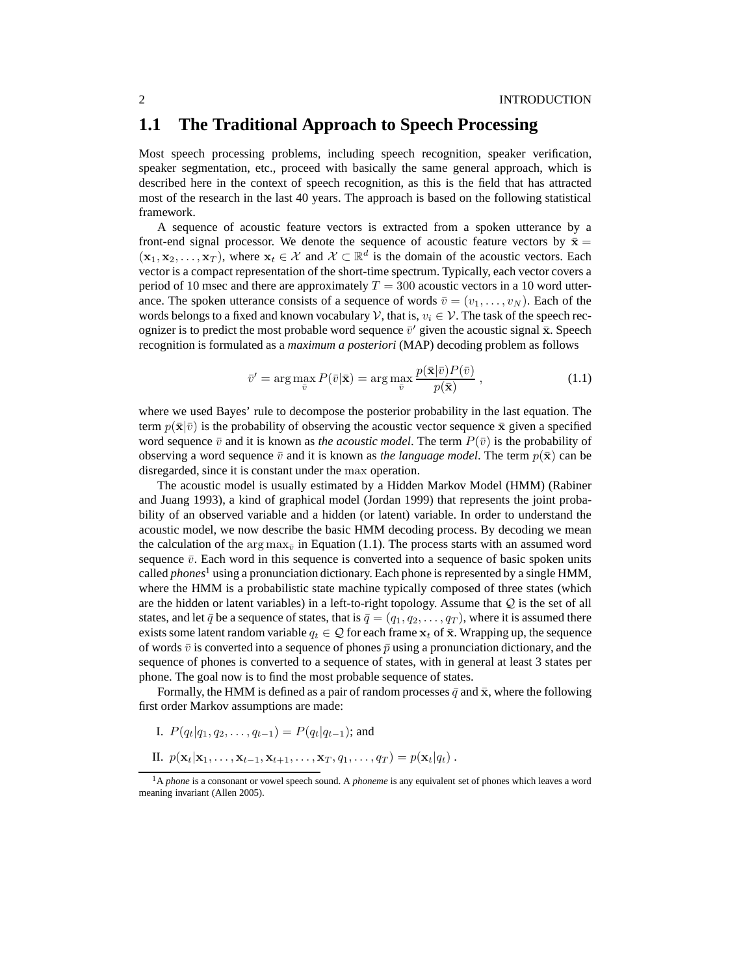# **1.1 The Traditional Approach to Speech Processing**

Most speech processing problems, including speech recognition, speaker verification, speaker segmentation, etc., proceed with basically the same general approach, which is described here in the context of speech recognition, as this is the field that has attracted most of the research in the last 40 years. The approach is based on the following statistical framework.

A sequence of acoustic feature vectors is extracted from a spoken utterance by a front-end signal processor. We denote the sequence of acoustic feature vectors by  $\bar{x}$  =  $(\mathbf{x}_1, \mathbf{x}_2, \dots, \mathbf{x}_T)$ , where  $\mathbf{x}_t \in \mathcal{X}$  and  $\mathcal{X} \subset \mathbb{R}^d$  is the domain of the acoustic vectors. Each vector is a compact representation of the short-time spectrum. Typically, each vector covers a period of 10 msec and there are approximately  $T = 300$  acoustic vectors in a 10 word utterance. The spoken utterance consists of a sequence of words  $\bar{v} = (v_1, \ldots, v_N)$ . Each of the words belongs to a fixed and known vocabulary V, that is,  $v_i \in V$ . The task of the speech recognizer is to predict the most probable word sequence  $\bar{v}'$  given the acoustic signal  $\bar{x}$ . Speech recognition is formulated as a *maximum a posteriori* (MAP) decoding problem as follows

$$
\bar{v}' = \arg\max_{\bar{v}} P(\bar{v}|\bar{\mathbf{x}}) = \arg\max_{\bar{v}} \frac{p(\bar{\mathbf{x}}|\bar{v})P(\bar{v})}{p(\bar{\mathbf{x}})},
$$
(1.1)

where we used Bayes' rule to decompose the posterior probability in the last equation. The term  $p(\bar{\mathbf{x}}|\bar{v})$  is the probability of observing the acoustic vector sequence  $\bar{\mathbf{x}}$  given a specified word sequence  $\bar{v}$  and it is known as *the acoustic model*. The term  $P(\bar{v})$  is the probability of observing a word sequence  $\bar{v}$  and it is known as *the language model*. The term  $p(\bar{x})$  can be disregarded, since it is constant under the max operation.

The acoustic model is usually estimated by a Hidden Markov Model (HMM) (Rabiner and Juang 1993), a kind of graphical model (Jordan 1999) that represents the joint probability of an observed variable and a hidden (or latent) variable. In order to understand the acoustic model, we now describe the basic HMM decoding process. By decoding we mean the calculation of the  $\arg \max_{\bar{v}}$  in Equation (1.1). The process starts with an assumed word sequence  $\bar{v}$ . Each word in this sequence is converted into a sequence of basic spoken units called *phones*<sup>1</sup> using a pronunciation dictionary. Each phone is represented by a single HMM, where the HMM is a probabilistic state machine typically composed of three states (which are the hidden or latent variables) in a left-to-right topology. Assume that  $Q$  is the set of all states, and let  $\bar{q}$  be a sequence of states, that is  $\bar{q} = (q_1, q_2, \dots, q_T)$ , where it is assumed there exists some latent random variable  $q_t \in \mathcal{Q}$  for each frame  $x_t$  of  $\bar{x}$ . Wrapping up, the sequence of words  $\bar{v}$  is converted into a sequence of phones  $\bar{p}$  using a pronunciation dictionary, and the sequence of phones is converted to a sequence of states, with in general at least 3 states per phone. The goal now is to find the most probable sequence of states.

Formally, the HMM is defined as a pair of random processes  $\bar{q}$  and  $\bar{x}$ , where the following first order Markov assumptions are made:

- I.  $P(q_t|q_1, q_2, \ldots, q_{t-1}) = P(q_t|q_{t-1})$ ; and
- II.  $p(\mathbf{x}_t|\mathbf{x}_1,\ldots,\mathbf{x}_{t-1},\mathbf{x}_{t+1},\ldots,\mathbf{x}_T,q_1,\ldots,q_T) = p(\mathbf{x}_t|q_t)$ .

<sup>&</sup>lt;sup>1</sup>A *phone* is a consonant or vowel speech sound. A *phoneme* is any equivalent set of phones which leaves a word meaning invariant (Allen 2005).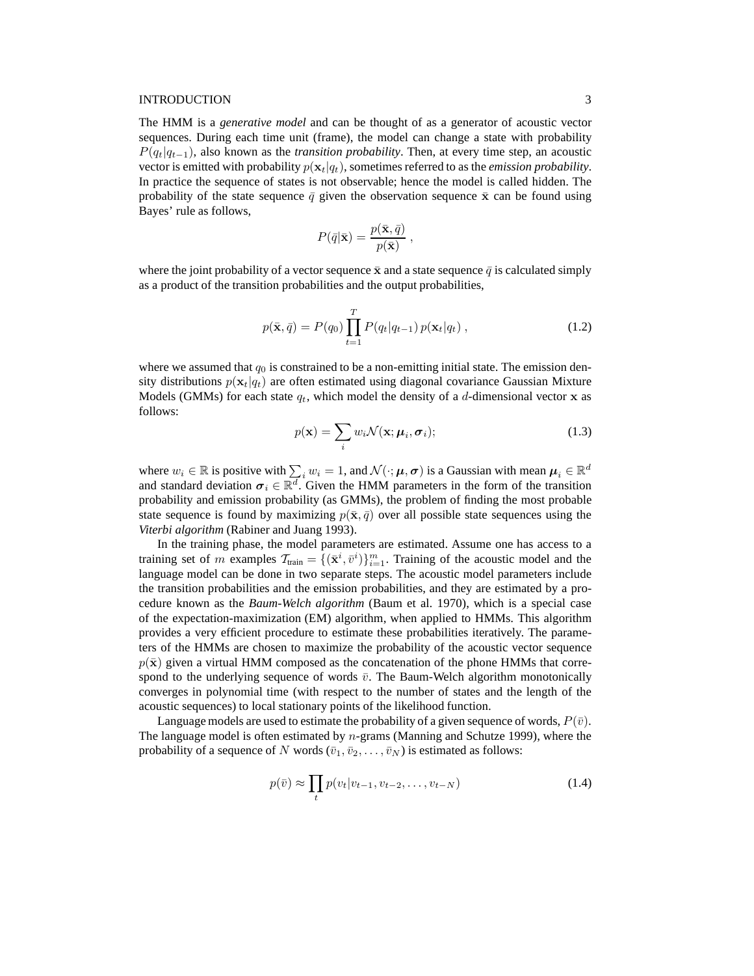#### INTRODUCTION 3

The HMM is a *generative model* and can be thought of as a generator of acoustic vector sequences. During each time unit (frame), the model can change a state with probability P(qt|qt−1), also known as the *transition probability*. Then, at every time step, an acoustic vector is emitted with probability  $p(\mathbf{x}_t|q_t)$ , sometimes referred to as the *emission probability*. In practice the sequence of states is not observable; hence the model is called hidden. The probability of the state sequence  $\bar{q}$  given the observation sequence  $\bar{x}$  can be found using Bayes' rule as follows,

$$
P(\bar{q}|\bar{\mathbf{x}}) = \frac{p(\bar{\mathbf{x}}, \bar{q})}{p(\bar{\mathbf{x}})},
$$

where the joint probability of a vector sequence  $\bar{x}$  and a state sequence  $\bar{q}$  is calculated simply as a product of the transition probabilities and the output probabilities,

$$
p(\bar{\mathbf{x}}, \bar{q}) = P(q_0) \prod_{t=1}^{T} P(q_t | q_{t-1}) p(\mathbf{x}_t | q_t), \qquad (1.2)
$$

where we assumed that  $q_0$  is constrained to be a non-emitting initial state. The emission density distributions  $p(\mathbf{x}_t|q_t)$  are often estimated using diagonal covariance Gaussian Mixture Models (GMMs) for each state  $q_t$ , which model the density of a d-dimensional vector x as follows:

$$
p(\mathbf{x}) = \sum_{i} w_i \mathcal{N}(\mathbf{x}; \boldsymbol{\mu}_i, \boldsymbol{\sigma}_i);
$$
 (1.3)

where  $w_i \in \mathbb{R}$  is positive with  $\sum_i w_i = 1$ , and  $\mathcal{N}(\cdot; \mu, \sigma)$  is a Gaussian with mean  $\mu_i \in \mathbb{R}^d$ and standard deviation  $\sigma_i \in \mathbb{R}^d$ . Given the HMM parameters in the form of the transition probability and emission probability (as GMMs), the problem of finding the most probable state sequence is found by maximizing  $p(\bar{\mathbf{x}}, \bar{q})$  over all possible state sequences using the *Viterbi algorithm* (Rabiner and Juang 1993).

In the training phase, the model parameters are estimated. Assume one has access to a training set of m examples  $\mathcal{T}_{\text{train}} = \{(\bar{\mathbf{x}}^i, \bar{v}^i)\}_{i=1}^m$ . Training of the acoustic model and the language model can be done in two separate steps. The acoustic model parameters include the transition probabilities and the emission probabilities, and they are estimated by a procedure known as the *Baum-Welch algorithm* (Baum et al. 1970), which is a special case of the expectation-maximization (EM) algorithm, when applied to HMMs. This algorithm provides a very efficient procedure to estimate these probabilities iteratively. The parameters of the HMMs are chosen to maximize the probability of the acoustic vector sequence  $p(\bar{x})$  given a virtual HMM composed as the concatenation of the phone HMMs that correspond to the underlying sequence of words  $\bar{v}$ . The Baum-Welch algorithm monotonically converges in polynomial time (with respect to the number of states and the length of the acoustic sequences) to local stationary points of the likelihood function.

Language models are used to estimate the probability of a given sequence of words,  $P(\bar{v})$ . The language model is often estimated by  $n$ -grams (Manning and Schutze 1999), where the probability of a sequence of N words  $(\bar{v}_1, \bar{v}_2, \dots, \bar{v}_N)$  is estimated as follows:

$$
p(\bar{v}) \approx \prod_{t} p(v_t | v_{t-1}, v_{t-2}, \dots, v_{t-N})
$$
\n(1.4)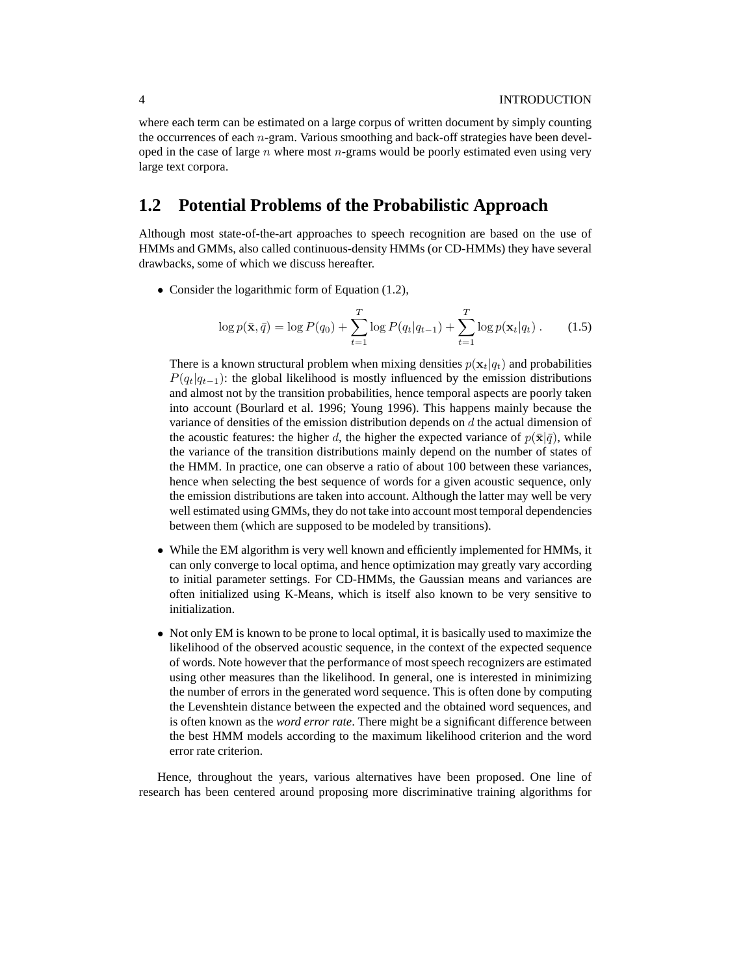where each term can be estimated on a large corpus of written document by simply counting the occurrences of each  $n$ -gram. Various smoothing and back-off strategies have been developed in the case of large n where most n-grams would be poorly estimated even using very large text corpora.

# **1.2 Potential Problems of the Probabilistic Approach**

Although most state-of-the-art approaches to speech recognition are based on the use of HMMs and GMMs, also called continuous-density HMMs (or CD-HMMs) they have several drawbacks, some of which we discuss hereafter.

• Consider the logarithmic form of Equation (1.2),

$$
\log p(\bar{\mathbf{x}}, \bar{q}) = \log P(q_0) + \sum_{t=1}^{T} \log P(q_t | q_{t-1}) + \sum_{t=1}^{T} \log p(\mathbf{x}_t | q_t).
$$
 (1.5)

There is a known structural problem when mixing densities  $p(\mathbf{x}_t|q_t)$  and probabilities  $P(q_t|q_{t-1})$ : the global likelihood is mostly influenced by the emission distributions and almost not by the transition probabilities, hence temporal aspects are poorly taken into account (Bourlard et al. 1996; Young 1996). This happens mainly because the variance of densities of the emission distribution depends on d the actual dimension of the acoustic features: the higher d, the higher the expected variance of  $p(\bar{\mathbf{x}}|\bar{q})$ , while the variance of the transition distributions mainly depend on the number of states of the HMM. In practice, one can observe a ratio of about 100 between these variances, hence when selecting the best sequence of words for a given acoustic sequence, only the emission distributions are taken into account. Although the latter may well be very well estimated using GMMs, they do not take into account most temporal dependencies between them (which are supposed to be modeled by transitions).

- While the EM algorithm is very well known and efficiently implemented for HMMs, it can only converge to local optima, and hence optimization may greatly vary according to initial parameter settings. For CD-HMMs, the Gaussian means and variances are often initialized using K-Means, which is itself also known to be very sensitive to initialization.
- Not only EM is known to be prone to local optimal, it is basically used to maximize the likelihood of the observed acoustic sequence, in the context of the expected sequence of words. Note however that the performance of most speech recognizers are estimated using other measures than the likelihood. In general, one is interested in minimizing the number of errors in the generated word sequence. This is often done by computing the Levenshtein distance between the expected and the obtained word sequences, and is often known as the *word error rate*. There might be a significant difference between the best HMM models according to the maximum likelihood criterion and the word error rate criterion.

Hence, throughout the years, various alternatives have been proposed. One line of research has been centered around proposing more discriminative training algorithms for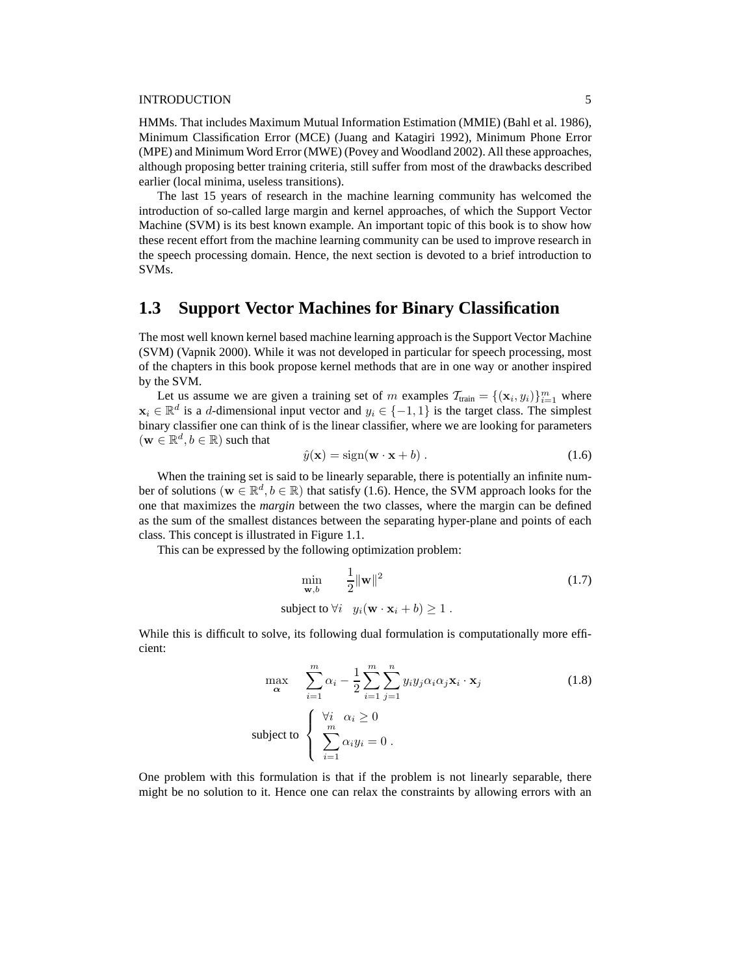#### INTRODUCTION 5

HMMs. That includes Maximum Mutual Information Estimation (MMIE) (Bahl et al. 1986), Minimum Classification Error (MCE) (Juang and Katagiri 1992), Minimum Phone Error (MPE) and Minimum Word Error (MWE) (Povey and Woodland 2002). All these approaches, although proposing better training criteria, still suffer from most of the drawbacks described earlier (local minima, useless transitions).

The last 15 years of research in the machine learning community has welcomed the introduction of so-called large margin and kernel approaches, of which the Support Vector Machine (SVM) is its best known example. An important topic of this book is to show how these recent effort from the machine learning community can be used to improve research in the speech processing domain. Hence, the next section is devoted to a brief introduction to SVMs.

# **1.3 Support Vector Machines for Binary Classification**

The most well known kernel based machine learning approach is the Support Vector Machine (SVM) (Vapnik 2000). While it was not developed in particular for speech processing, most of the chapters in this book propose kernel methods that are in one way or another inspired by the SVM.

Let us assume we are given a training set of m examples  $\mathcal{T}_{\text{train}} = \{(\mathbf{x}_i, y_i)\}_{i=1}^m$  where  $x_i \in \mathbb{R}^d$  is a d-dimensional input vector and  $y_i \in \{-1,1\}$  is the target class. The simplest binary classifier one can think of is the linear classifier, where we are looking for parameters  $(\mathbf{w} \in \mathbb{R}^d, b \in \mathbb{R})$  such that

$$
\hat{y}(\mathbf{x}) = \text{sign}(\mathbf{w} \cdot \mathbf{x} + b) \,. \tag{1.6}
$$

When the training set is said to be linearly separable, there is potentially an infinite number of solutions ( $\mathbf{w} \in \mathbb{R}^d$ ,  $b \in \mathbb{R}$ ) that satisfy (1.6). Hence, the SVM approach looks for the one that maximizes the *margin* between the two classes, where the margin can be defined as the sum of the smallest distances between the separating hyper-plane and points of each class. This concept is illustrated in Figure 1.1.

This can be expressed by the following optimization problem:

$$
\min_{\mathbf{w},b} \qquad \frac{1}{2} \|\mathbf{w}\|^2 \tag{1.7}
$$

subject to 
$$
\forall i \quad y_i(\mathbf{w} \cdot \mathbf{x}_i + b) \ge 1
$$
.

While this is difficult to solve, its following dual formulation is computationally more efficient:

$$
\max_{\mathbf{\alpha}} \sum_{i=1}^{m} \alpha_i - \frac{1}{2} \sum_{i=1}^{m} \sum_{j=1}^{n} y_i y_j \alpha_i \alpha_j \mathbf{x}_i \cdot \mathbf{x}_j
$$
(1.8)  
subject to 
$$
\begin{cases} \forall i & \alpha_i \ge 0 \\ \sum_{i=1}^{m} \alpha_i y_i = 0 . \end{cases}
$$

One problem with this formulation is that if the problem is not linearly separable, there might be no solution to it. Hence one can relax the constraints by allowing errors with an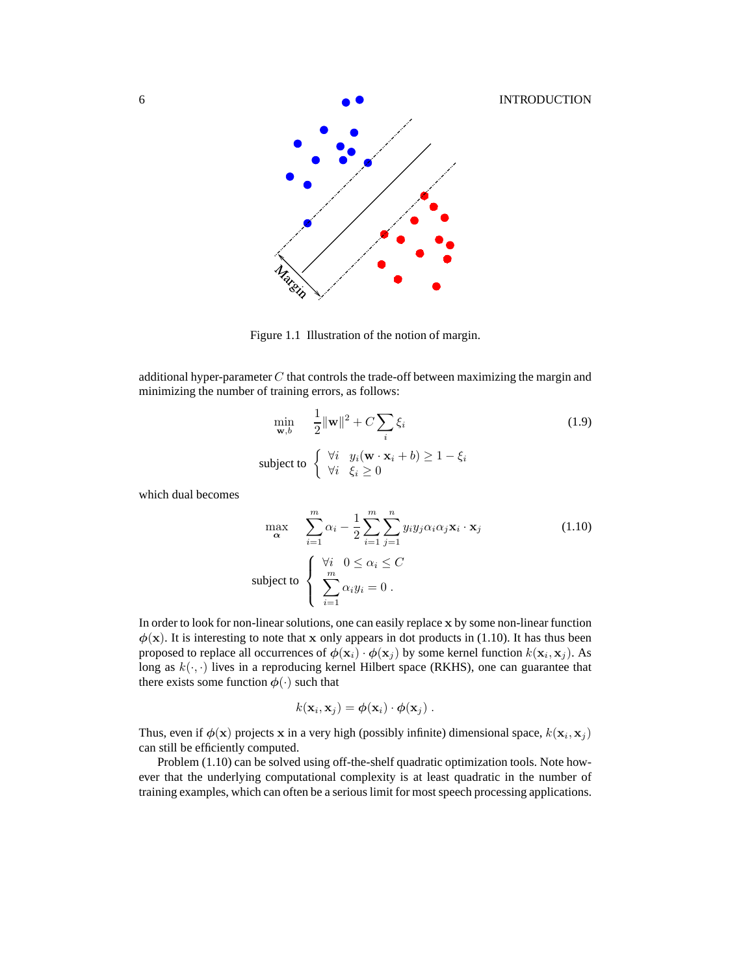

Figure 1.1 Illustration of the notion of margin.

additional hyper-parameter  $C$  that controls the trade-off between maximizing the margin and minimizing the number of training errors, as follows:

$$
\min_{\mathbf{w},b} \quad \frac{1}{2} \|\mathbf{w}\|^2 + C \sum_{i} \xi_i
$$
\n
$$
\text{subject to } \begin{cases} \forall i & y_i(\mathbf{w} \cdot \mathbf{x}_i + b) \ge 1 - \xi_i \\ \forall i & \xi_i \ge 0 \end{cases} \tag{1.9}
$$

which dual becomes

$$
\max_{\mathbf{\alpha}} \sum_{i=1}^{m} \alpha_i - \frac{1}{2} \sum_{i=1}^{m} \sum_{j=1}^{n} y_i y_j \alpha_i \alpha_j \mathbf{x}_i \cdot \mathbf{x}_j
$$
\n
$$
\text{subject to } \begin{cases} \forall i & 0 \le \alpha_i \le C \\ \sum_{i=1}^{m} \alpha_i y_i = 0 \end{cases} \tag{1.10}
$$

In order to look for non-linear solutions, one can easily replace x by some non-linear function  $\phi(\mathbf{x})$ . It is interesting to note that x only appears in dot products in (1.10). It has thus been proposed to replace all occurrences of  $\phi(\mathbf{x}_i) \cdot \phi(\mathbf{x}_j)$  by some kernel function  $k(\mathbf{x}_i, \mathbf{x}_j)$ . As long as  $k(\cdot, \cdot)$  lives in a reproducing kernel Hilbert space (RKHS), one can guarantee that there exists some function  $\phi(\cdot)$  such that

$$
k(\mathbf{x}_i, \mathbf{x}_j) = \boldsymbol{\phi}(\mathbf{x}_i) \cdot \boldsymbol{\phi}(\mathbf{x}_j).
$$

Thus, even if  $\phi(\mathbf{x})$  projects x in a very high (possibly infinite) dimensional space,  $k(\mathbf{x}_i, \mathbf{x}_j)$ can still be efficiently computed.

Problem (1.10) can be solved using off-the-shelf quadratic optimization tools. Note however that the underlying computational complexity is at least quadratic in the number of training examples, which can often be a serious limit for most speech processing applications.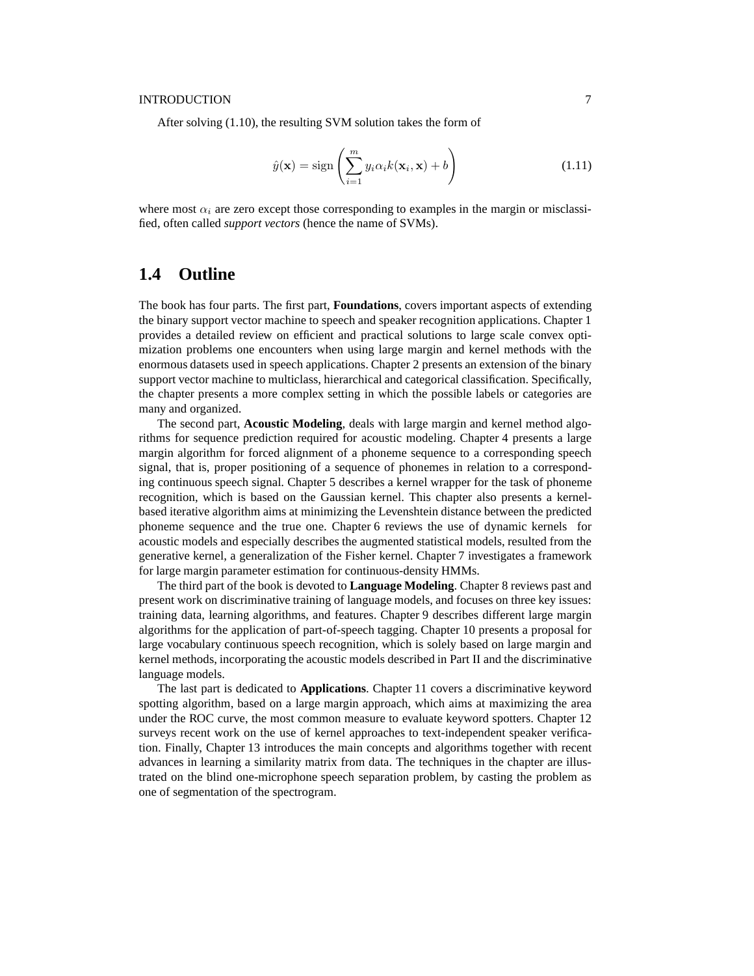### INTRODUCTION 7

After solving (1.10), the resulting SVM solution takes the form of

$$
\hat{y}(\mathbf{x}) = \text{sign}\left(\sum_{i=1}^{m} y_i \alpha_i k(\mathbf{x}_i, \mathbf{x}) + b\right)
$$
\n(1.11)

where most  $\alpha_i$  are zero except those corresponding to examples in the margin or misclassified, often called *support vectors* (hence the name of SVMs).

# **1.4 Outline**

The book has four parts. The first part, **Foundations**, covers important aspects of extending the binary support vector machine to speech and speaker recognition applications. Chapter 1 provides a detailed review on efficient and practical solutions to large scale convex optimization problems one encounters when using large margin and kernel methods with the enormous datasets used in speech applications. Chapter 2 presents an extension of the binary support vector machine to multiclass, hierarchical and categorical classification. Specifically, the chapter presents a more complex setting in which the possible labels or categories are many and organized.

The second part, **Acoustic Modeling**, deals with large margin and kernel method algorithms for sequence prediction required for acoustic modeling. Chapter 4 presents a large margin algorithm for forced alignment of a phoneme sequence to a corresponding speech signal, that is, proper positioning of a sequence of phonemes in relation to a corresponding continuous speech signal. Chapter 5 describes a kernel wrapper for the task of phoneme recognition, which is based on the Gaussian kernel. This chapter also presents a kernelbased iterative algorithm aims at minimizing the Levenshtein distance between the predicted phoneme sequence and the true one. Chapter 6 reviews the use of dynamic kernels for acoustic models and especially describes the augmented statistical models, resulted from the generative kernel, a generalization of the Fisher kernel. Chapter 7 investigates a framework for large margin parameter estimation for continuous-density HMMs.

The third part of the book is devoted to **Language Modeling**. Chapter 8 reviews past and present work on discriminative training of language models, and focuses on three key issues: training data, learning algorithms, and features. Chapter 9 describes different large margin algorithms for the application of part-of-speech tagging. Chapter 10 presents a proposal for large vocabulary continuous speech recognition, which is solely based on large margin and kernel methods, incorporating the acoustic models described in Part II and the discriminative language models.

The last part is dedicated to **Applications**. Chapter 11 covers a discriminative keyword spotting algorithm, based on a large margin approach, which aims at maximizing the area under the ROC curve, the most common measure to evaluate keyword spotters. Chapter 12 surveys recent work on the use of kernel approaches to text-independent speaker verification. Finally, Chapter 13 introduces the main concepts and algorithms together with recent advances in learning a similarity matrix from data. The techniques in the chapter are illustrated on the blind one-microphone speech separation problem, by casting the problem as one of segmentation of the spectrogram.